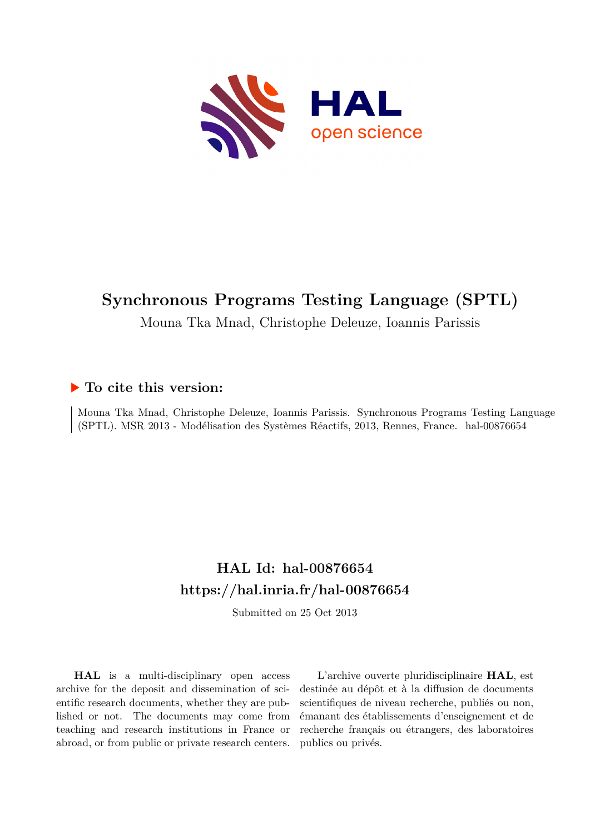

# **Synchronous Programs Testing Language (SPTL)**

Mouna Tka Mnad, Christophe Deleuze, Ioannis Parissis

### **To cite this version:**

Mouna Tka Mnad, Christophe Deleuze, Ioannis Parissis. Synchronous Programs Testing Language (SPTL). MSR 2013 - Modélisation des Systèmes Réactifs, 2013, Rennes, France. hal-00876654

### **HAL Id: hal-00876654 <https://hal.inria.fr/hal-00876654>**

Submitted on 25 Oct 2013

**HAL** is a multi-disciplinary open access archive for the deposit and dissemination of scientific research documents, whether they are published or not. The documents may come from teaching and research institutions in France or abroad, or from public or private research centers.

L'archive ouverte pluridisciplinaire **HAL**, est destinée au dépôt et à la diffusion de documents scientifiques de niveau recherche, publiés ou non, émanant des établissements d'enseignement et de recherche français ou étrangers, des laboratoires publics ou privés.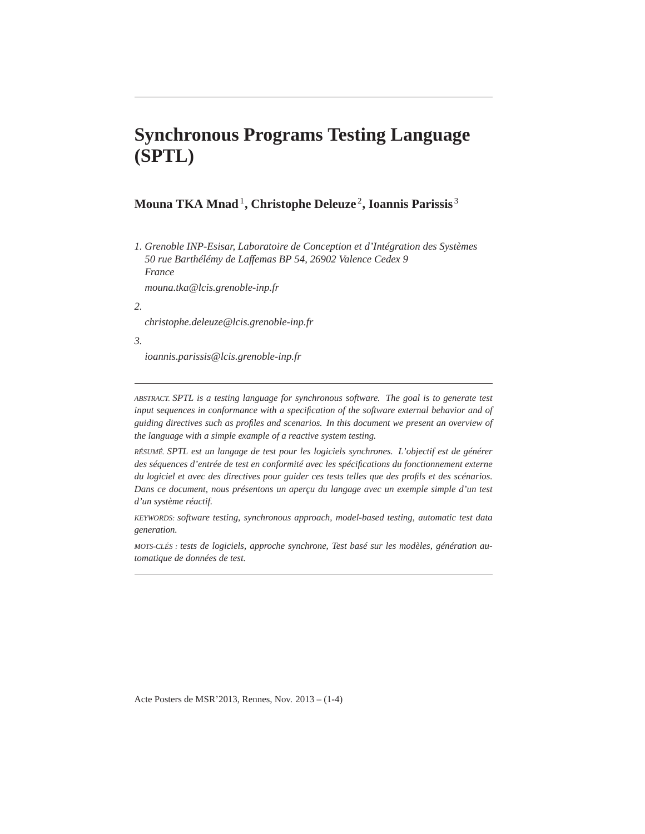## **Synchronous Programs Testing Language (SPTL)**

### **Mouna TKA Mnad**<sup>1</sup> **, Christophe Deleuze** <sup>2</sup> **, Ioannis Parissis** <sup>3</sup>

*1. Grenoble INP-Esisar, Laboratoire de Conception et d'Intégration des Systèmes 50 rue Barthélémy de Laffemas BP 54, 26902 Valence Cedex 9 France*

*mouna.tka@lcis.grenoble-inp.fr*

*2.*

*christophe.deleuze@lcis.grenoble-inp.fr*

*3.*

*ioannis.parissis@lcis.grenoble-inp.fr*

*ABSTRACT. SPTL is a testing language for synchronous software. The goal is to generate test input sequences in conformance with a specification of the software external behavior and of guiding directives such as profiles and scenarios. In this document we present an overview of the language with a simple example of a reactive system testing.*

*RÉSUMÉ. SPTL est un langage de test pour les logiciels synchrones. L'objectif est de générer des séquences d'entrée de test en conformité avec les spécifications du fonctionnement externe du logiciel et avec des directives pour guider ces tests telles que des profils et des scénarios. Dans ce document, nous présentons un aperçu du langage avec un exemple simple d'un test d'un système réactif.*

*KEYWORDS: software testing, synchronous approach, model-based testing, automatic test data generation.*

*MOTS-CLÉS : tests de logiciels, approche synchrone, Test basé sur les modèles, génération automatique de données de test.*

Acte Posters de MSR'2013, Rennes, Nov. 2013 – (1-4)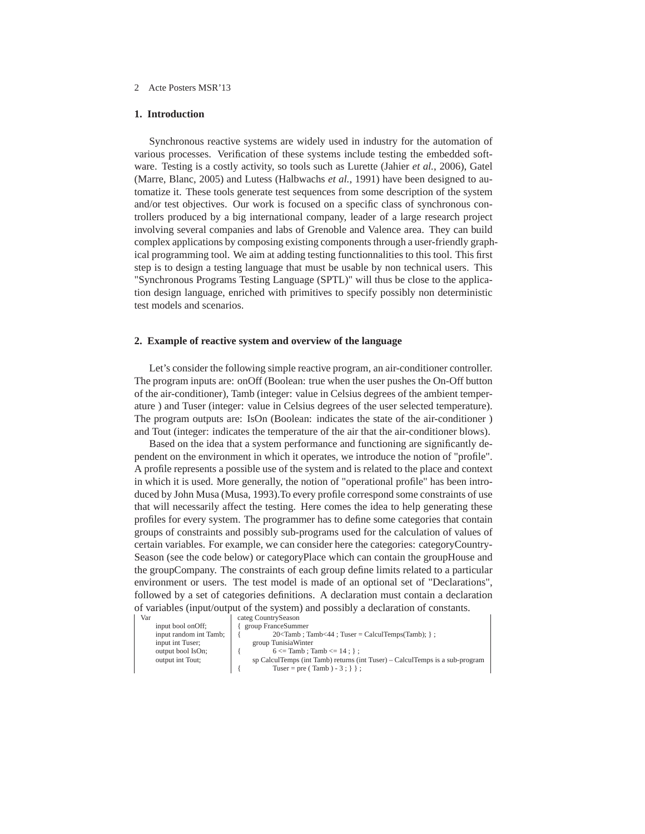#### 2 Acte Posters MSR'13

#### **1. Introduction**

Synchronous reactive systems are widely used in industry for the automation of various processes. Verification of these systems include testing the embedded software. Testing is a costly activity, so tools such as Lurette (Jahier *et al.*, 2006), Gatel (Marre, Blanc, 2005) and Lutess (Halbwachs *et al.*, 1991) have been designed to automatize it. These tools generate test sequences from some description of the system and/or test objectives. Our work is focused on a specific class of synchronous controllers produced by a big international company, leader of a large research project involving several companies and labs of Grenoble and Valence area. They can build complex applications by composing existing components through a user-friendly graphical programming tool. We aim at adding testing functionnalities to this tool. This first step is to design a testing language that must be usable by non technical users. This "Synchronous Programs Testing Language (SPTL)" will thus be close to the application design language, enriched with primitives to specify possibly non deterministic test models and scenarios.

#### **2. Example of reactive system and overview of the language**

Let's consider the following simple reactive program, an air-conditioner controller. The program inputs are: onOff (Boolean: true when the user pushes the On-Off button of the air-conditioner), Tamb (integer: value in Celsius degrees of the ambient temperature ) and Tuser (integer: value in Celsius degrees of the user selected temperature). The program outputs are: IsOn (Boolean: indicates the state of the air-conditioner ) and Tout (integer: indicates the temperature of the air that the air-conditioner blows).

Based on the idea that a system performance and functioning are significantly dependent on the environment in which it operates, we introduce the notion of "profile". A profile represents a possible use of the system and is related to the place and context in which it is used. More generally, the notion of "operational profile" has been introduced by John Musa (Musa, 1993).To every profile correspond some constraints of use that will necessarily affect the testing. Here comes the idea to help generating these profiles for every system. The programmer has to define some categories that contain groups of constraints and possibly sub-programs used for the calculation of values of certain variables. For example, we can consider here the categories: categoryCountry-Season (see the code below) or categoryPlace which can contain the groupHouse and the groupCompany. The constraints of each group define limits related to a particular environment or users. The test model is made of an optional set of "Declarations", followed by a set of categories definitions. A declaration must contain a declaration of variables (input/output of the system) and possibly a declaration of constants.

input bool onOff; input random int Tamb; input int Tuser: output bool IsOn; output int Tout;

Var categ CountrySeason

| group FranceSummer                                                           |
|------------------------------------------------------------------------------|
| $20 \leq$ Tamb; Tamb $\leq$ 44; Tuser = CalculTemps(Tamb); };                |
| group TunisiaWinter                                                          |
| $6 \leq$ Tamb ; Tamb $\leq$ 14 ; } ;                                         |
| sp CalculTemps (int Tamb) returns (int Tuser) – CalculTemps is a sub-program |
| Tuser = pre (Tamb) - 3 ; } } ;                                               |
|                                                                              |